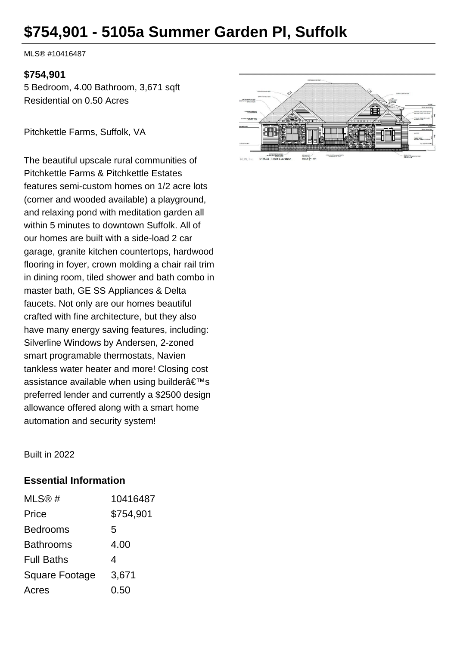# **\$754,901 - 5105a Summer Garden Pl, Suffolk**

MLS® #10416487

#### **\$754,901**

5 Bedroom, 4.00 Bathroom, 3,671 sqft Residential on 0.50 Acres

Pitchkettle Farms, Suffolk, VA

The beautiful upscale rural communities of Pitchkettle Farms & Pitchkettle Estates features semi-custom homes on 1/2 acre lots (corner and wooded available) a playground, and relaxing pond with meditation garden all within 5 minutes to downtown Suffolk. All of our homes are built with a side-load 2 car garage, granite kitchen countertops, hardwood flooring in foyer, crown molding a chair rail trim in dining room, tiled shower and bath combo in master bath, GE SS Appliances & Delta faucets. Not only are our homes beautiful crafted with fine architecture, but they also have many energy saving features, including: Silverline Windows by Andersen, 2-zoned smart programable thermostats, Navien tankless water heater and more! Closing cost assistance available when using builder's preferred lender and currently a \$2500 design allowance offered along with a smart home automation and security system!

肝 FIFIR THI **MONEY** 01/A04 Front Elevation

Built in 2022

#### **Essential Information**

| MLS@#                 | 10416487  |
|-----------------------|-----------|
| Price                 | \$754,901 |
| <b>Bedrooms</b>       | 5         |
| <b>Bathrooms</b>      | 4.00      |
| <b>Full Baths</b>     | 4         |
| <b>Square Footage</b> | 3,671     |
| Acres                 | 0.50      |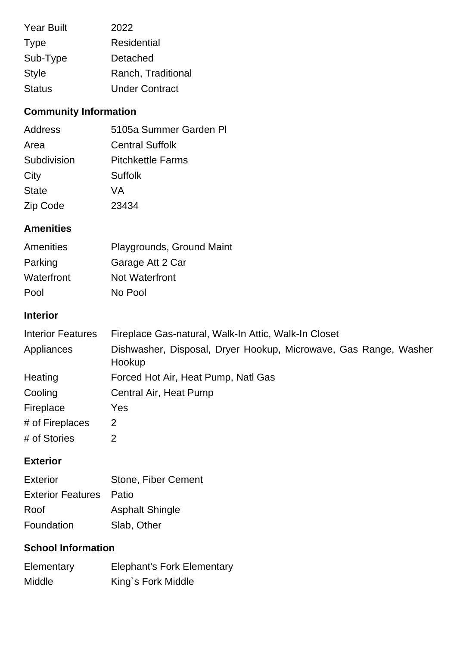| <b>Year Built</b> | 2022                  |
|-------------------|-----------------------|
| <b>Type</b>       | <b>Residential</b>    |
| Sub-Type          | Detached              |
| <b>Style</b>      | Ranch, Traditional    |
| <b>Status</b>     | <b>Under Contract</b> |

# **Community Information**

| Address      | 5105a Summer Garden PI   |
|--------------|--------------------------|
| Area         | <b>Central Suffolk</b>   |
| Subdivision  | <b>Pitchkettle Farms</b> |
| City         | <b>Suffolk</b>           |
| <b>State</b> | VA                       |
| Zip Code     | 23434                    |

# **Amenities**

| Amenities  | Playgrounds, Ground Maint |
|------------|---------------------------|
| Parking    | Garage Att 2 Car          |
| Waterfront | Not Waterfront            |
| Pool       | No Pool                   |

#### **Interior**

| <b>Interior Features</b> | Fireplace Gas-natural, Walk-In Attic, Walk-In Closet                       |
|--------------------------|----------------------------------------------------------------------------|
| Appliances               | Dishwasher, Disposal, Dryer Hookup, Microwave, Gas Range, Washer<br>Hookup |
| Heating                  | Forced Hot Air, Heat Pump, Natl Gas                                        |
| Cooling                  | Central Air, Heat Pump                                                     |
| Fireplace                | Yes                                                                        |
| # of Fireplaces          | 2                                                                          |
| # of Stories             | 2                                                                          |

#### **Exterior**

| Exterior                       | Stone, Fiber Cement    |
|--------------------------------|------------------------|
| <b>Exterior Features</b> Patio |                        |
| Roof                           | <b>Asphalt Shingle</b> |
| Foundation                     | Slab, Other            |

### **School Information**

| Elementary | <b>Elephant's Fork Elementary</b> |
|------------|-----------------------------------|
| Middle     | King's Fork Middle                |